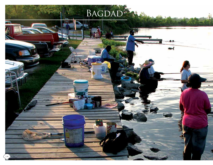# BAGDAD<sup>2</sup>

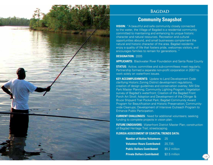

### **BAGDAD**

## **Community Snapshot**

**VISION:** "A beautiful and safe community closely connected to the water, the Village of Bagdad is a residential community committed to maintaining and enhancing its unique historic character and natural resources. Recreation and cultural opportunities abound, and small businesses complement the natural and historic character of the area. Bagdad residents enjoy a quality of life that fosters pride, welcomes visitors, and encourages families to remain for generations. "

#### **DESIGNATION:** 2005

**APPLICANTS:** Blackwater River Foundation and Santa Rosa County

**STATUS:** Active; committee and sub-committees meet regularly; Partnership formed a separate non-profit corporation in 2007 to work solely on waterfront issues.

**KEY ACCOMPLISHMENTS:** Update to Land Development Code clarifying Historic Zoning District development regulations, creation of design guidelines and conservation overlay; Mill Site Park Master Planning; Community Lighting Program; Vegetation survey of Bagdad's waterfront; Creation of the Bagdad Front Porch Art Stroll; Adoption and Development of the Ollinger & Bruce Shipyard Trail Pocket Park; Bagdad Community Award Program for Beautification and Historic Preservation; Communitywide Cleanups; Development of Intensive Outreach Program to Enhance Public Participation.

**CURRENT CHALLENGES:** Need for additional volunteers; seeking funding to complete projects in vision plan.

**FUTURE ENDEAVORS:** Waterfront District Master Plan; construction of Bagdad Heritage Trail; streetscaping.

#### **FLORIDA ASSESSMENT OF COASTAL TRENDS DATA:**

| <b>Number of Active Volunteers:</b> | 25             |
|-------------------------------------|----------------|
| <b>Volunteer Hours Contributed:</b> | 20,735         |
| <b>Public Dollars Contributed:</b>  | \$5.2 million  |
| <b>Private Dollars Contributed:</b> | $$2.5$ million |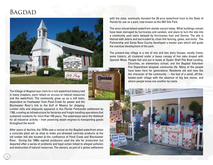## **BAGDAD**



The Village of Bagdad lays claim to a rich waterfront history told in many chapters, each reliant on access to natural resources and the waterfront. The community grew up as a mill town, dependent on freshwater from Pond Creek for power and the Blackwater River's link to the Gulf of Mexico for shipping.

Lumber mills and shipyards appeared in this Florida Panhandle settlement by 1760, creating an infrastructure for factories and freight handling operations that sustained residents for more than 150 years. The waterways were the lifeblood for all industrial activity – from powering steam engines to transporting goods throughout the world.

After years of decline, the 1970s saw a revival on the Bagdad waterfront when a concrete plant set up shop to make pre-stressed concrete products at the old lumber mill site located at the confluence of Pond Creek and Blackwater River. During the 1990s asphalt producers used the site for production but departed after a series of problems and legal action linked to alleged pollution and destruction of natural resources. The owners, as part of a global settlement with the state, eventually donated the 20-acre waterfront tract to the State of Florida for use as a park, now known as the Mill Site Park.

The once industrialized waterfront stands vacant today. What buildings remain have been damaged by hurricanes and vandals, and plans to turn the site into a community park were delayed by Hurricanes Ivan and Dennis. The site is littered with debris and barricaded by chain link fencing, gates, and locks. The Partnership and Santa Rosa County developed a master plan which will guide the eventual development of the park.

The present-day village is a mix of one and two story houses, mostly frame; some historic, all clustered under a heavy canopy of live oaks draped with Spanish Moss. People fish and put in boats at Oyster Shell Pile Boat Landing.

> Churches, an elementary school, and the Bagdad Volunteer Fire Department bespeak community life. Many of the people have been here for generations. Residents old and new like the character of the community — the feel of a small, off-thebeaten-path village with the absence of big box stores, and where people know one another by name.



16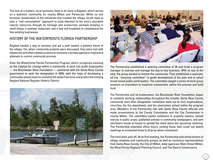The lack of a modern, local economic base is an issue in Bagdad, which serves as a bedroom community for nearby Milton and Pensacola. While no one foresees revitalization of the industries that created the village, locals hope to take a "non-consumptive" approach to draw attention to the area's abundant natural resources through its heritage and ecotourism, perhaps drawing in small shops, a seafood restaurant, and a bed and breakfast to complement the few existing businesses.

#### History of the Waterfronts Florida Partnership

Bagdad needed a way to envision and set a path toward a positive future of the village. Yet, when community projects were discussed, they were met with skepticism and often viewed as items on someone's private agenda or haphazard attempts to control community process.

Enter the Waterfronts Florida Partnership Program, which recognizes visioning as the catalyst for change within a community. A local non-profit organization — the Blackwater River Foundation — partnered with the Santa Rosa County government to seek the designation in 2005, with the hope of developing a community-based vision to revitalize the waterfront area and protect the existing Bagdad National Register Historic District.





The Partnership established a steering committee of 20 and hired a program manager to oversee and manage the day-to-day business. With an eye to the past, the group worked to involve the community. They established a separate, ad hoc "visioning committee" to guide development of the plan and to solicit broad-based public participation. The committee staged a series of small group sessions as orientation to maximize involvement, define the process and build trust.

The Partnership and its predecessor, the Blackwater River Foundation, began to establish working relationships throughout the broader Santa Rosa County community soon after designation. Invitations went out to civic organizations, churches, the fire department, and the elementary school within the program area. Members of the Partnership met with Santa Rosa County officials and made presentations to the County Commission and the City Commission in nearby Milton. The committee mailed invitations to property owners, posted notices in public areas, published articles in community newspapers, and sent volunteers house-to-house to spread the word about the upcoming visioning. The Partnership extended office hours, inviting those who could not attend meetings at scheduled times to drop by when convenient.

The hard work paid off. At its first meeting, the Partnership welcomed dozens of village residents and community groups, as well as numerous representatives from Santa Rosa County, the City of Milton, state agencies, Main Street Milton, the West Florida Regional Planning Council, and The Nature Conservancy.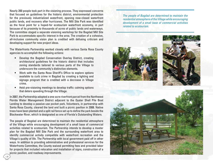Nearly 200 people took part in the visioning process. They expressed concerns that focused on guidelines for the historic district, environmental protection for the previously industrialized waterfront, opening now-closed waterfront public lands, and recovery after hurricanes. The Mill Site Park was identified as the focal point for a hoped-for ecotourism waterfront economy, in part because of its proximity to thousands of acres of public lands and waterways. The committee staged a separate visioning workshop for the Bagdad Mill Site Park to accommodate specific interest in the area. The creation of a cohesive, all-inclusive community vision plan is credited with defusing criticism and developing support for new project ideas.

The Waterfronts Partnership worked closely with various Santa Rosa County agencies to accomplish the following actions:

- Develop the Bagdad Conservation Overlay District, creating architectural guidelines for the historic district that includes zoning standards tailored to various parts of the Village to underscore the community's distinctive elements.
- Work with the Santa Rosa Sheriff's Office to explore options available to curb crime in Bagdad by creating a lighting and signage program that is credited with a decrease in Village crime.
- Held pre-visioning meetings to develop traffic calming options that deters speeding through the Village.

In 2007, the Partnership adopted a one-acre riverfront parcel from the Northwest Florida Water Management District adjacent to the Oyster Shell Pile Boat Landing to develop a passive-use pocket park. Volunteers, in partnership with Santa Rosa County, cleared the land and built a picnic pavilion in 2008. Native trees have been planted and a split rail fence set up to define the park beside the Blackwater River, which is designated as one of Florida's Outstanding Waters.

The people of Bagdad are determined to maintain the residential atmosphere of the Village while encouraging development of a small base of commercial activities related to ecotourism. The Partnership intends to develop a master plan for the Bagdad Mill Site Park and the surrounding waterfront area to identify commercial activity compatible with waterfront recreation and the Village's quality of life. The Partnership with local government paid off in other ways. In addition to providing administrative and professional services for the Waterfronts Committee, the County waived permitting fees and provided labor for projects that included relocation and installation of signs, construction of a picnic pavilion, and roadway improvements.

*The people of Bagdad are determined to maintain the residential atmosphere of the Village while encouraging development of a small base of commercial activities related to ecotourism.*